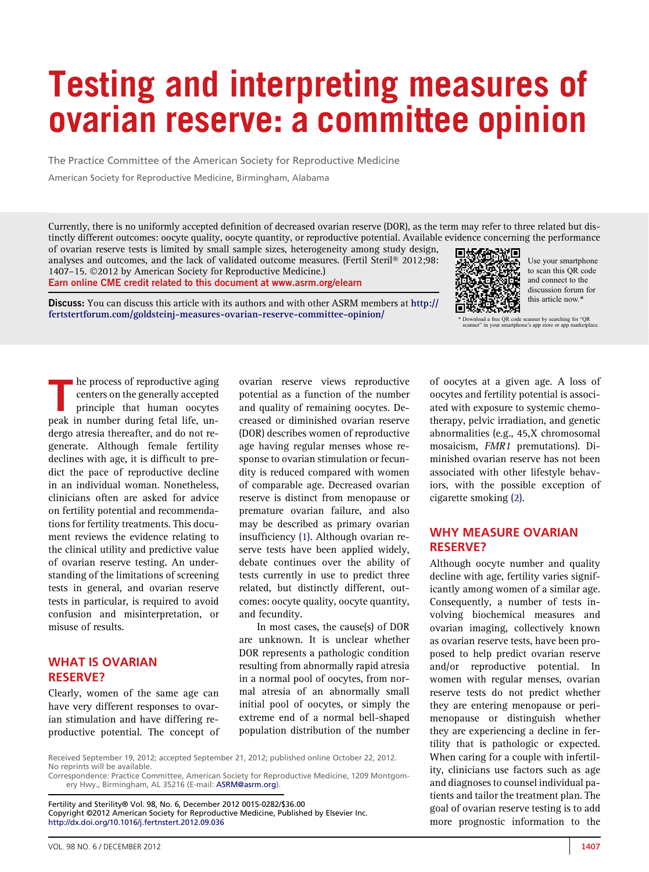# Testing and interpreting measures of ovarian reserve: a committee opinion

The Practice Committee of the American Society for Reproductive Medicine

American Society for Reproductive Medicine, Birmingham, Alabama

Currently, there is no uniformly accepted definition of decreased ovarian reserve (DOR), as the term may refer to three related but distinctly different outcomes: oocyte quality, oocyte quantity, or reproductive potential. Available evidence concerning the performance

of ovarian reserve tests is limited by small sample sizes, heterogeneity among study design, analyses and outcomes, and the lack of validated outcome measures. (Fertil Steril® 2012;98: 1407-15. ©2012 by American Society for Reproductive Medicine.) Earn online CME credit related to this document at [www.asrm.org/elearn](http://www.asrm.org/elearn)

Discuss: You can discuss this article with its authors and with other ASRM members at [http://](http://fertstertforum.com/goldsteinj-measures-ovarian-reserve-committee-opinion/) [fertstertforum.com/goldsteinj-measures-ovarian-reserve-committee-opinion/](http://fertstertforum.com/goldsteinj-measures-ovarian-reserve-committee-opinion/)



Use your smartphone to scan this QR code and connect to the discussion forum for this article now.\*

\* Download a free QR code scanner by searching for "QR scanner" in your smartphone's app store or app marketplace.

The process of reproductive aging<br>
tenters on the generally accepted<br>
principle that human oocytes<br>
peak in number during fetal life up centers on the generally accepted principle that human oocytes peak in number during fetal life, undergo atresia thereafter, and do not regenerate. Although female fertility declines with age, it is difficult to predict the pace of reproductive decline in an individual woman. Nonetheless, clinicians often are asked for advice on fertility potential and recommendations for fertility treatments. This document reviews the evidence relating to the clinical utility and predictive value of ovarian reserve testing. An understanding of the limitations of screening tests in general, and ovarian reserve tests in particular, is required to avoid confusion and misinterpretation, or misuse of results.

# WHAT IS OVARIAN RESERVE?

Clearly, women of the same age can have very different responses to ovarian stimulation and have differing reproductive potential. The concept of

ovarian reserve views reproductive potential as a function of the number and quality of remaining oocytes. Decreased or diminished ovarian reserve (DOR) describes women of reproductive age having regular menses whose response to ovarian stimulation or fecundity is reduced compared with women of comparable age. Decreased ovarian reserve is distinct from menopause or premature ovarian failure, and also may be described as primary ovarian insufficiency [\(1\)](#page-6-0). Although ovarian reserve tests have been applied widely, debate continues over the ability of tests currently in use to predict three related, but distinctly different, outcomes: oocyte quality, oocyte quantity, and fecundity.

In most cases, the cause(s) of DOR are unknown. It is unclear whether DOR represents a pathologic condition resulting from abnormally rapid atresia in a normal pool of oocytes, from normal atresia of an abnormally small initial pool of oocytes, or simply the extreme end of a normal bell-shaped population distribution of the number

of oocytes at a given age. A loss of oocytes and fertility potential is associated with exposure to systemic chemotherapy, pelvic irradiation, and genetic abnormalities (e.g., 45,X chromosomal mosaicism, FMR1 premutations). Diminished ovarian reserve has not been associated with other lifestyle behaviors, with the possible exception of cigarette smoking [\(2\).](#page-6-0)

# WHY MEASURE OVARIAN RESERVE?

Although oocyte number and quality decline with age, fertility varies significantly among women of a similar age. Consequently, a number of tests involving biochemical measures and ovarian imaging, collectively known as ovarian reserve tests, have been proposed to help predict ovarian reserve and/or reproductive potential. In women with regular menses, ovarian reserve tests do not predict whether they are entering menopause or perimenopause or distinguish whether they are experiencing a decline in fertility that is pathologic or expected. When caring for a couple with infertility, clinicians use factors such as age and diagnoses to counsel individual patients and tailor the treatment plan. The goal of ovarian reserve testing is to add more prognostic information to the

Received September 19, 2012; accepted September 21, 2012; published online October 22, 2012. No reprints will be available.

Correspondence: Practice Committee, American Society for Reproductive Medicine, 1209 Montgom-ery Hwy., Birmingham, AL 35216 (E-mail: [ASRM@asrm.org](mailto:ASRM@asrm.org)).

Fertility and Sterility® Vol. 98, No. 6, December 2012 0015-0282/\$36.00 Copyright ©2012 American Society for Reproductive Medicine, Published by Elsevier Inc. <http://dx.doi.org/10.1016/j.fertnstert.2012.09.036>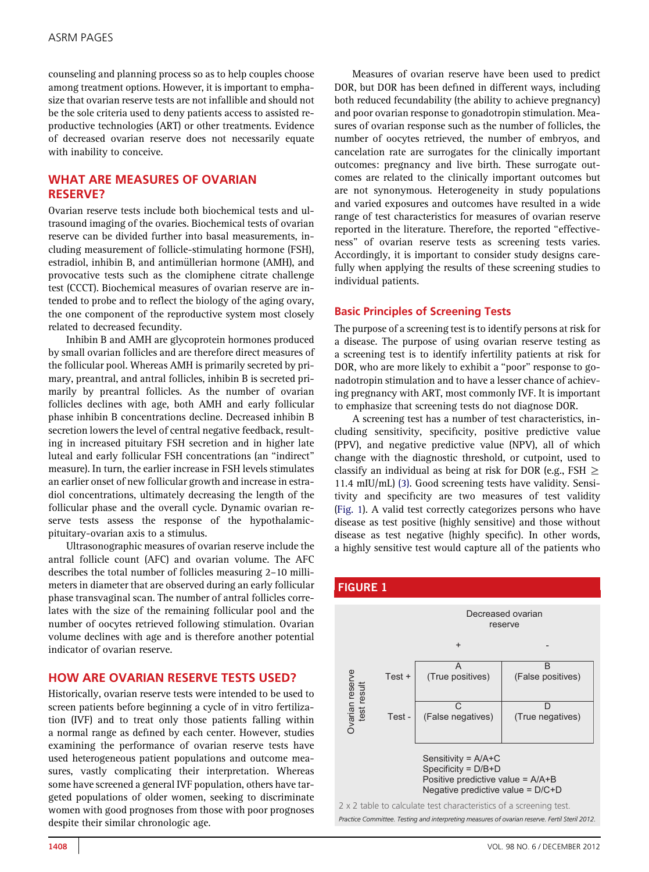counseling and planning process so as to help couples choose among treatment options. However, it is important to emphasize that ovarian reserve tests are not infallible and should not be the sole criteria used to deny patients access to assisted reproductive technologies (ART) or other treatments. Evidence of decreased ovarian reserve does not necessarily equate with inability to conceive.

# WHAT ARE MEASURES OF OVARIAN RESERVE?

Ovarian reserve tests include both biochemical tests and ultrasound imaging of the ovaries. Biochemical tests of ovarian reserve can be divided further into basal measurements, including measurement of follicle-stimulating hormone (FSH), estradiol, inhibin B, and antimüllerian hormone (AMH), and provocative tests such as the clomiphene citrate challenge test (CCCT). Biochemical measures of ovarian reserve are intended to probe and to reflect the biology of the aging ovary, the one component of the reproductive system most closely related to decreased fecundity.

Inhibin B and AMH are glycoprotein hormones produced by small ovarian follicles and are therefore direct measures of the follicular pool. Whereas AMH is primarily secreted by primary, preantral, and antral follicles, inhibin B is secreted primarily by preantral follicles. As the number of ovarian follicles declines with age, both AMH and early follicular phase inhibin B concentrations decline. Decreased inhibin B secretion lowers the level of central negative feedback, resulting in increased pituitary FSH secretion and in higher late luteal and early follicular FSH concentrations (an ''indirect'' measure). In turn, the earlier increase in FSH levels stimulates an earlier onset of new follicular growth and increase in estradiol concentrations, ultimately decreasing the length of the follicular phase and the overall cycle. Dynamic ovarian reserve tests assess the response of the hypothalamicpituitary-ovarian axis to a stimulus.

Ultrasonographic measures of ovarian reserve include the antral follicle count (AFC) and ovarian volume. The AFC describes the total number of follicles measuring 2–10 millimeters in diameter that are observed during an early follicular phase transvaginal scan. The number of antral follicles correlates with the size of the remaining follicular pool and the number of oocytes retrieved following stimulation. Ovarian volume declines with age and is therefore another potential indicator of ovarian reserve.

## HOW ARE OVARIAN RESERVE TESTS USED?

Historically, ovarian reserve tests were intended to be used to screen patients before beginning a cycle of in vitro fertilization (IVF) and to treat only those patients falling within a normal range as defined by each center. However, studies examining the performance of ovarian reserve tests have used heterogeneous patient populations and outcome measures, vastly complicating their interpretation. Whereas some have screened a general IVF population, others have targeted populations of older women, seeking to discriminate women with good prognoses from those with poor prognoses despite their similar chronologic age.

Measures of ovarian reserve have been used to predict DOR, but DOR has been defined in different ways, including both reduced fecundability (the ability to achieve pregnancy) and poor ovarian response to gonadotropin stimulation. Measures of ovarian response such as the number of follicles, the number of oocytes retrieved, the number of embryos, and cancelation rate are surrogates for the clinically important outcomes: pregnancy and live birth. These surrogate outcomes are related to the clinically important outcomes but are not synonymous. Heterogeneity in study populations and varied exposures and outcomes have resulted in a wide range of test characteristics for measures of ovarian reserve reported in the literature. Therefore, the reported ''effectiveness'' of ovarian reserve tests as screening tests varies. Accordingly, it is important to consider study designs carefully when applying the results of these screening studies to individual patients.

## Basic Principles of Screening Tests

The purpose of a screening test is to identify persons at risk for a disease. The purpose of using ovarian reserve testing as a screening test is to identify infertility patients at risk for DOR, who are more likely to exhibit a ''poor'' response to gonadotropin stimulation and to have a lesser chance of achieving pregnancy with ART, most commonly IVF. It is important to emphasize that screening tests do not diagnose DOR.

A screening test has a number of test characteristics, including sensitivity, specificity, positive predictive value (PPV), and negative predictive value (NPV), all of which change with the diagnostic threshold, or cutpoint, used to classify an individual as being at risk for DOR (e.g., FSH  $\geq$ 11.4 mIU/mL) [\(3\).](#page-6-0) Good screening tests have validity. Sensitivity and specificity are two measures of test validity (Fig. 1). A valid test correctly categorizes persons who have disease as test positive (highly sensitive) and those without disease as test negative (highly specific). In other words, a highly sensitive test would capture all of the patients who



Practice Committee. Testing and interpreting measures of ovarian reserve. Fertil Steril 2012.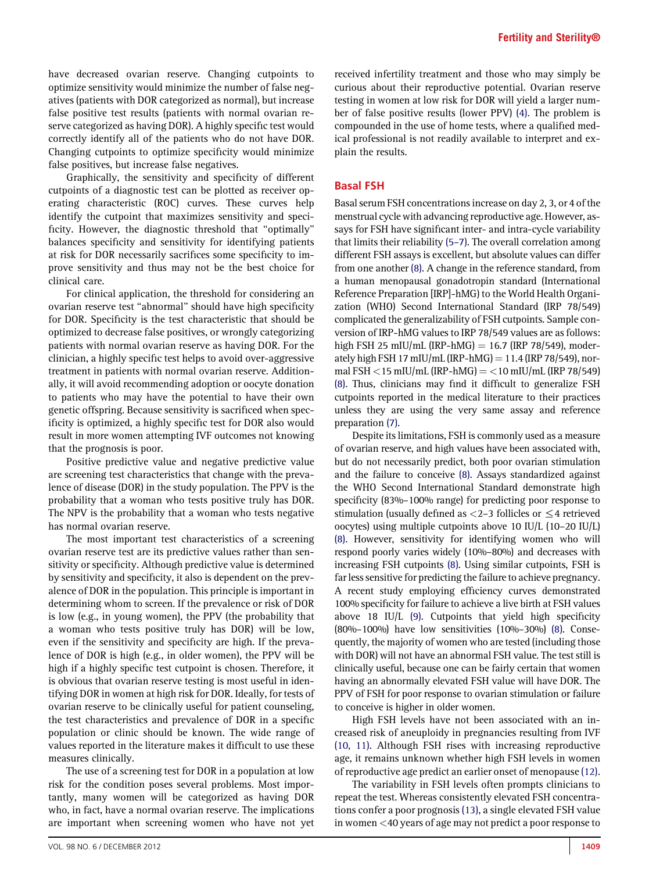have decreased ovarian reserve. Changing cutpoints to optimize sensitivity would minimize the number of false negatives (patients with DOR categorized as normal), but increase false positive test results (patients with normal ovarian reserve categorized as having DOR). A highly specific test would correctly identify all of the patients who do not have DOR. Changing cutpoints to optimize specificity would minimize false positives, but increase false negatives.

Graphically, the sensitivity and specificity of different cutpoints of a diagnostic test can be plotted as receiver operating characteristic (ROC) curves. These curves help identify the cutpoint that maximizes sensitivity and specificity. However, the diagnostic threshold that ''optimally'' balances specificity and sensitivity for identifying patients at risk for DOR necessarily sacrifices some specificity to improve sensitivity and thus may not be the best choice for clinical care.

For clinical application, the threshold for considering an ovarian reserve test ''abnormal'' should have high specificity for DOR. Specificity is the test characteristic that should be optimized to decrease false positives, or wrongly categorizing patients with normal ovarian reserve as having DOR. For the clinician, a highly specific test helps to avoid over-aggressive treatment in patients with normal ovarian reserve. Additionally, it will avoid recommending adoption or oocyte donation to patients who may have the potential to have their own genetic offspring. Because sensitivity is sacrificed when specificity is optimized, a highly specific test for DOR also would result in more women attempting IVF outcomes not knowing that the prognosis is poor.

Positive predictive value and negative predictive value are screening test characteristics that change with the prevalence of disease (DOR) in the study population. The PPV is the probability that a woman who tests positive truly has DOR. The NPV is the probability that a woman who tests negative has normal ovarian reserve.

The most important test characteristics of a screening ovarian reserve test are its predictive values rather than sensitivity or specificity. Although predictive value is determined by sensitivity and specificity, it also is dependent on the prevalence of DOR in the population. This principle is important in determining whom to screen. If the prevalence or risk of DOR is low (e.g., in young women), the PPV (the probability that a woman who tests positive truly has DOR) will be low, even if the sensitivity and specificity are high. If the prevalence of DOR is high (e.g., in older women), the PPV will be high if a highly specific test cutpoint is chosen. Therefore, it is obvious that ovarian reserve testing is most useful in identifying DOR in women at high risk for DOR. Ideally, for tests of ovarian reserve to be clinically useful for patient counseling, the test characteristics and prevalence of DOR in a specific population or clinic should be known. The wide range of values reported in the literature makes it difficult to use these measures clinically.

The use of a screening test for DOR in a population at low risk for the condition poses several problems. Most importantly, many women will be categorized as having DOR who, in fact, have a normal ovarian reserve. The implications are important when screening women who have not yet

received infertility treatment and those who may simply be curious about their reproductive potential. Ovarian reserve testing in women at low risk for DOR will yield a larger number of false positive results (lower PPV) [\(4\)](#page-6-0). The problem is compounded in the use of home tests, where a qualified medical professional is not readily available to interpret and explain the results.

#### Basal FSH

Basal serum FSH concentrations increase on day 2, 3, or 4 of the menstrual cycle with advancing reproductive age. However, assays for FSH have significant inter- and intra-cycle variability that limits their reliability (5–[7\).](#page-6-0) The overall correlation among different FSH assays is excellent, but absolute values can differ from one another [\(8\).](#page-7-0) A change in the reference standard, from a human menopausal gonadotropin standard (International Reference Preparation [IRP]-hMG) to the World Health Organization (WHO) Second International Standard (IRP 78/549) complicated the generalizability of FSH cutpoints. Sample conversion of IRP-hMG values to IRP 78/549 values are as follows: high FSH 25 mIU/mL (IRP-hMG) = 16.7 (IRP 78/549), moderately high FSH 17 mIU/mL (IRP-hMG) =  $11.4$  (IRP 78/549), normal FSH  $<$  15 mIU/mL (IRP-hMG) =  $<$  10 mIU/mL (IRP 78/549) [\(8\).](#page-7-0) Thus, clinicians may find it difficult to generalize FSH cutpoints reported in the medical literature to their practices unless they are using the very same assay and reference preparation [\(7\).](#page-6-0)

Despite its limitations, FSH is commonly used as a measure of ovarian reserve, and high values have been associated with, but do not necessarily predict, both poor ovarian stimulation and the failure to conceive [\(8\)](#page-7-0). Assays standardized against the WHO Second International Standard demonstrate high specificity (83%–100% range) for predicting poor response to stimulation (usually defined as  $<$  2-3 follicles or  $\leq$  4 retrieved oocytes) using multiple cutpoints above 10 IU/L (10–20 IU/L) [\(8\).](#page-7-0) However, sensitivity for identifying women who will respond poorly varies widely (10%–80%) and decreases with increasing FSH cutpoints [\(8\).](#page-7-0) Using similar cutpoints, FSH is far less sensitive for predicting the failure to achieve pregnancy. A recent study employing efficiency curves demonstrated 100% specificity for failure to achieve a live birth at FSH values above 18 IU/L [\(9\).](#page-7-0) Cutpoints that yield high specificity (80%–100%) have low sensitivities (10%–30%) [\(8\)](#page-7-0). Consequently, the majority of women who are tested (including those with DOR) will not have an abnormal FSH value. The test still is clinically useful, because one can be fairly certain that women having an abnormally elevated FSH value will have DOR. The PPV of FSH for poor response to ovarian stimulation or failure to conceive is higher in older women.

High FSH levels have not been associated with an increased risk of aneuploidy in pregnancies resulting from IVF [\(10, 11\)](#page-7-0). Although FSH rises with increasing reproductive age, it remains unknown whether high FSH levels in women of reproductive age predict an earlier onset of menopause [\(12\).](#page-7-0)

The variability in FSH levels often prompts clinicians to repeat the test. Whereas consistently elevated FSH concentrations confer a poor prognosis [\(13\),](#page-7-0) a single elevated FSH value in women <40 years of age may not predict a poor response to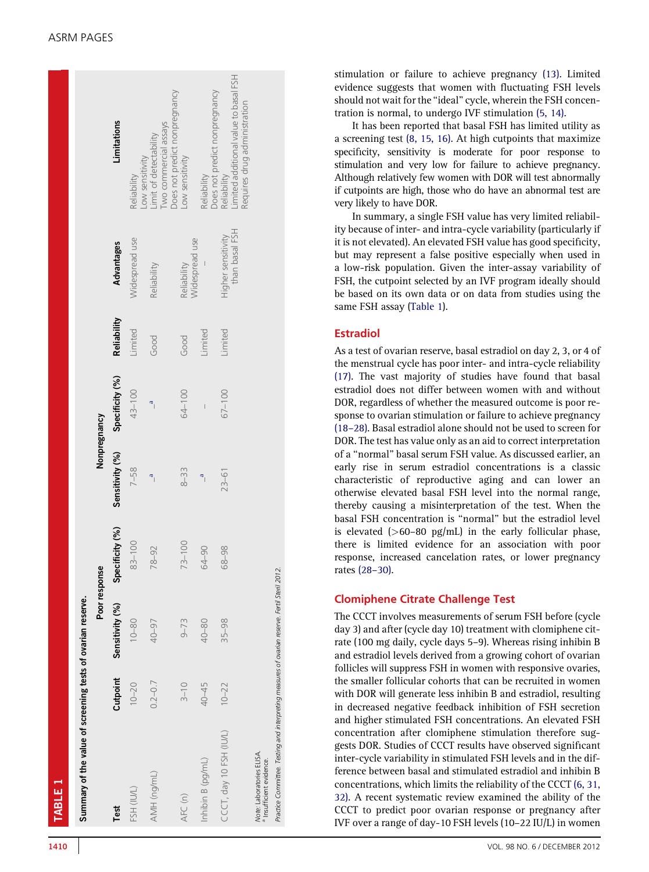<span id="page-3-0"></span>

| Summary of the value of screening tests of ovarian reserve.                                  |             |                 |                 |                       |                 |               |                                      |                                                                                                                       |
|----------------------------------------------------------------------------------------------|-------------|-----------------|-----------------|-----------------------|-----------------|---------------|--------------------------------------|-----------------------------------------------------------------------------------------------------------------------|
|                                                                                              |             |                 | Poor response   |                       | Nonpregnancy    |               |                                      |                                                                                                                       |
| Test                                                                                         | Cutpoint    | Sensitivity (%) | Specificity (%) | Sensitivity (%)       | Specificity (%) | Reliability   | <b>Advantages</b>                    | <b>Limitations</b>                                                                                                    |
| FSH (IU/L)                                                                                   | $10 - 20$   | $10 - 80$       | $83 - 100$      | $7 - 58$              | 43-100          | Limited       | Widespread use                       | Reliability                                                                                                           |
| AMH (ng/mL)                                                                                  | $0.2 - 0.7$ | 40-97           | 78-92           | $\sigma$ <sub> </sub> | $\sigma$        | Good          | Reliability                          | wo commercial assays<br>limit of detectability<br>ow sensitivity                                                      |
| AFC(n)                                                                                       | $3 - 10$    | $9 - 73$        | $73 - 100$      | $8 - 33$              | 64-100          | Good          | Reliability                          | Does not predict nonpregnancy<br>ow sensitivity                                                                       |
| Inhibin B (pg/mL)                                                                            | 40-45       | $40 - 80$       | 64-90           | $\sigma$              |                 | <i>imited</i> | Widespread use                       | Reliability                                                                                                           |
| CCCT, day 10 FSH (IU/L)                                                                      | $10 - 22$   | 35-98           | 68-98           | $23 - 61$             | $67 - 100$      | -imited       | than basal FSH<br>Higher sensitivity | Reliability<br>Limited additional value to basal FSH<br>Does not predict nonpregnancy<br>Requires drug administration |
| Note: Laboratories ELISA.<br><sup>a</sup> Insufficient evidence.                             |             |                 |                 |                       |                 |               |                                      |                                                                                                                       |
| Practice Committee. Testing and interpreting measures of ovarian reserve. Fertil Steril 2012 |             |                 |                 |                       |                 |               |                                      |                                                                                                                       |

stimulation or failure to achieve pregnancy [\(13\).](#page-7-0) Limited evidence suggests that women with fluctuating FSH levels should not wait for the ''ideal'' cycle, wherein the FSH concentration is normal, to undergo IVF stimulation [\(5, 14\).](#page-6-0)

It has been reported that basal FSH has limited utility as a screening test [\(8, 15, 16\)](#page-7-0). At high cutpoints that maximize specificity, sensitivity is moderate for poor response to stimulation and very low for failure to achieve pregnancy. Although relatively few women with DOR will test abnormally if cutpoints are high, those who do have an abnormal test are very likely to have DOR.

In summary, a single FSH value has very limited reliability because of inter- and intra-cycle variability (particularly if it is not elevated). An elevated FSH value has good specificity, but may represent a false positive especially when used in a low-risk population. Given the inter-assay variability of FSH, the cutpoint selected by an IVF program ideally should be based on its own data or on data from studies using the same FSH assay (Table 1).

## Estradiol

As a test of ovarian reserve, basal estradiol on day 2, 3, or 4 of the menstrual cycle has poor inter- and intra-cycle reliability [\(17\).](#page-7-0) The vast majority of studies have found that basal estradiol does not differ between women with and without DOR, regardless of whether the measured outcome is poor response to ovarian stimulation or failure to achieve pregnancy [\(18](#page-7-0)–28). Basal estradiol alone should not be used to screen for DOR. The test has value only as an aid to correct interpretation of a ''normal'' basal serum FSH value. As discussed earlier, an early rise in serum estradiol concentrations is a classic characteristic of reproductive aging and can lower an otherwise elevated basal FSH level into the normal range, thereby causing a misinterpretation of the test. When the basal FSH concentration is ''normal'' but the estradiol level is elevated  $(>60-80 \text{ pg/mL})$  in the early follicular phase, there is limited evidence for an association with poor response, increased cancelation rates, or lower pregnancy rates [\(28](#page-7-0)–30).

## Clomiphene Citrate Challenge Test

The CCCT involves measurements of serum FSH before (cycle day 3) and after (cycle day 10) treatment with clomiphene citrate (100 mg daily, cycle days 5–9). Whereas rising inhibin B and estradiol levels derived from a growing cohort of ovarian follicles will suppress FSH in women with responsive ovaries, the smaller follicular cohorts that can be recruited in women with DOR will generate less inhibin B and estradiol, resulting in decreased negative feedback inhibition of FSH secretion and higher stimulated FSH concentrations. An elevated FSH concentration after clomiphene stimulation therefore suggests DOR. Studies of CCCT results have observed significant inter-cycle variability in stimulated FSH levels and in the difference between basal and stimulated estradiol and inhibin B concentrations, which limits the reliability of the CCCT [\(6, 31,](#page-6-0) [32\)](#page-6-0). A recent systematic review examined the ability of the CCCT to predict poor ovarian response or pregnancy after IVF over a range of day-10 FSH levels (10–22 IU/L) in women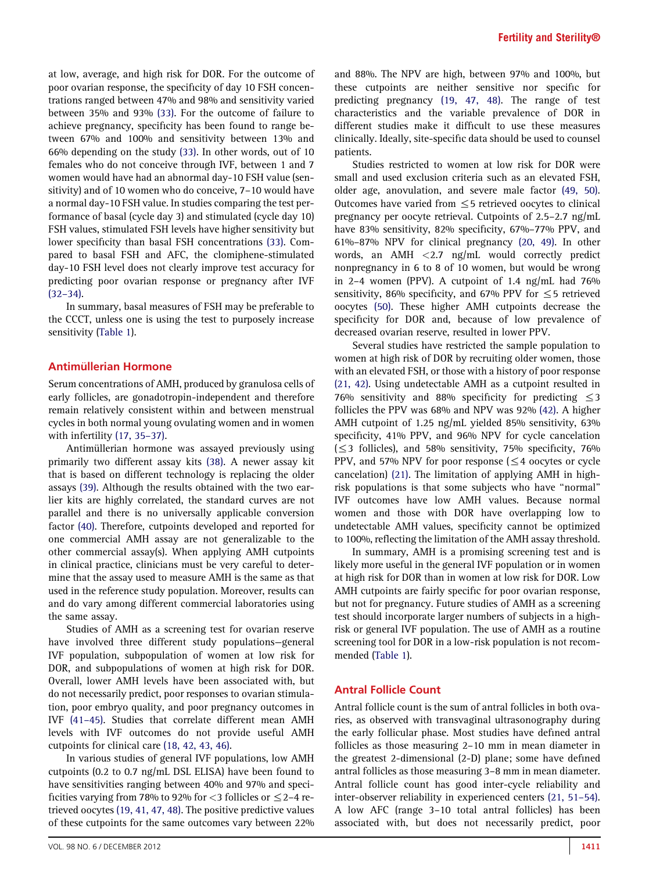at low, average, and high risk for DOR. For the outcome of poor ovarian response, the specificity of day 10 FSH concentrations ranged between 47% and 98% and sensitivity varied between 35% and 93% [\(33\)](#page-7-0). For the outcome of failure to achieve pregnancy, specificity has been found to range between 67% and 100% and sensitivity between 13% and 66% depending on the study [\(33\)](#page-7-0). In other words, out of 10 females who do not conceive through IVF, between 1 and 7 women would have had an abnormal day-10 FSH value (sensitivity) and of 10 women who do conceive, 7–10 would have a normal day-10 FSH value. In studies comparing the test performance of basal (cycle day 3) and stimulated (cycle day 10) FSH values, stimulated FSH levels have higher sensitivity but lower specificity than basal FSH concentrations [\(33\).](#page-7-0) Compared to basal FSH and AFC, the clomiphene-stimulated day-10 FSH level does not clearly improve test accuracy for predicting poor ovarian response or pregnancy after IVF [\(32](#page-7-0)–34).

In summary, basal measures of FSH may be preferable to the CCCT, unless one is using the test to purposely increase sensitivity [\(Table 1](#page-3-0)).

#### Antimüllerian Hormone

Serum concentrations of AMH, produced by granulosa cells of early follicles, are gonadotropin-independent and therefore remain relatively consistent within and between menstrual cycles in both normal young ovulating women and in women with infertility [\(17, 35](#page-7-0)–37).

Antimüllerian hormone was assayed previously using primarily two different assay kits [\(38\)](#page-7-0). A newer assay kit that is based on different technology is replacing the older assays [\(39\)](#page-7-0). Although the results obtained with the two earlier kits are highly correlated, the standard curves are not parallel and there is no universally applicable conversion factor [\(40\).](#page-7-0) Therefore, cutpoints developed and reported for one commercial AMH assay are not generalizable to the other commercial assay(s). When applying AMH cutpoints in clinical practice, clinicians must be very careful to determine that the assay used to measure AMH is the same as that used in the reference study population. Moreover, results can and do vary among different commercial laboratories using the same assay.

Studies of AMH as a screening test for ovarian reserve have involved three different study populations—general IVF population, subpopulation of women at low risk for DOR, and subpopulations of women at high risk for DOR. Overall, lower AMH levels have been associated with, but do not necessarily predict, poor responses to ovarian stimulation, poor embryo quality, and poor pregnancy outcomes in IVF (41–[45\).](#page-7-0) Studies that correlate different mean AMH levels with IVF outcomes do not provide useful AMH cutpoints for clinical care [\(18, 42, 43, 46\).](#page-7-0)

In various studies of general IVF populations, low AMH cutpoints (0.2 to 0.7 ng/mL DSL ELISA) have been found to have sensitivities ranging between 40% and 97% and specificities varying from 78% to 92% for  $<$  3 follicles or  $\leq$  2–4 retrieved oocytes [\(19, 41, 47, 48\).](#page-7-0) The positive predictive values of these cutpoints for the same outcomes vary between 22% and 88%. The NPV are high, between 97% and 100%, but these cutpoints are neither sensitive nor specific for predicting pregnancy [\(19, 47, 48\).](#page-7-0) The range of test characteristics and the variable prevalence of DOR in different studies make it difficult to use these measures clinically. Ideally, site-specific data should be used to counsel patients.

Studies restricted to women at low risk for DOR were small and used exclusion criteria such as an elevated FSH, older age, anovulation, and severe male factor [\(49, 50\).](#page-8-0) Outcomes have varied from  $\leq$  5 retrieved oocytes to clinical pregnancy per oocyte retrieval. Cutpoints of 2.5–2.7 ng/mL have 83% sensitivity, 82% specificity, 67%–77% PPV, and 61%–87% NPV for clinical pregnancy [\(20, 49\)](#page-7-0). In other words, an AMH  $\langle 2.7 \text{ ng/mL}$  would correctly predict nonpregnancy in 6 to 8 of 10 women, but would be wrong in 2–4 women (PPV). A cutpoint of 1.4 ng/mL had 76% sensitivity, 86% specificity, and 67% PPV for  $\leq$  5 retrieved oocytes [\(50\)](#page-8-0). These higher AMH cutpoints decrease the specificity for DOR and, because of low prevalence of decreased ovarian reserve, resulted in lower PPV.

Several studies have restricted the sample population to women at high risk of DOR by recruiting older women, those with an elevated FSH, or those with a history of poor response [\(21, 42\)](#page-7-0). Using undetectable AMH as a cutpoint resulted in 76% sensitivity and 88% specificity for predicting  $\leq$ 3 follicles the PPV was 68% and NPV was 92% [\(42\).](#page-7-0) A higher AMH cutpoint of 1.25 ng/mL yielded 85% sensitivity, 63% specificity, 41% PPV, and 96% NPV for cycle cancelation  $(\leq)$  follicles), and 58% sensitivity, 75% specificity, 76% PPV, and 57% NPV for poor response ( $\leq$ 4 oocytes or cycle cancelation) [\(21\).](#page-7-0) The limitation of applying AMH in highrisk populations is that some subjects who have ''normal'' IVF outcomes have low AMH values. Because normal women and those with DOR have overlapping low to undetectable AMH values, specificity cannot be optimized to 100%, reflecting the limitation of the AMH assay threshold.

In summary, AMH is a promising screening test and is likely more useful in the general IVF population or in women at high risk for DOR than in women at low risk for DOR. Low AMH cutpoints are fairly specific for poor ovarian response, but not for pregnancy. Future studies of AMH as a screening test should incorporate larger numbers of subjects in a highrisk or general IVF population. The use of AMH as a routine screening tool for DOR in a low-risk population is not recommended ([Table 1](#page-3-0)).

### Antral Follicle Count

Antral follicle count is the sum of antral follicles in both ovaries, as observed with transvaginal ultrasonography during the early follicular phase. Most studies have defined antral follicles as those measuring 2–10 mm in mean diameter in the greatest 2-dimensional (2-D) plane; some have defined antral follicles as those measuring 3–8 mm in mean diameter. Antral follicle count has good inter-cycle reliability and inter-observer reliability in experienced centers [\(21, 51](#page-7-0)–54). A low AFC (range 3–10 total antral follicles) has been associated with, but does not necessarily predict, poor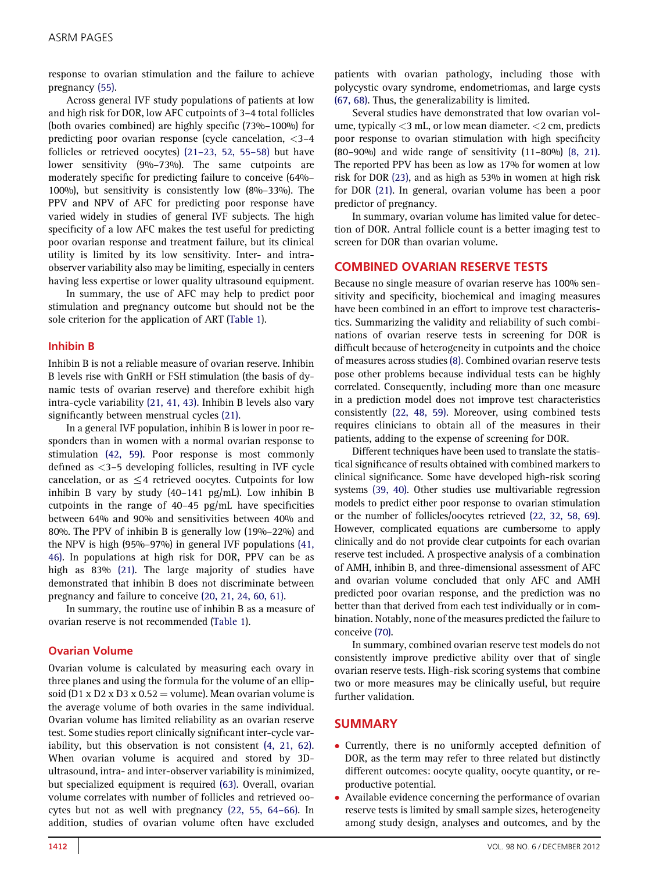response to ovarian stimulation and the failure to achieve pregnancy [\(55\).](#page-8-0)

Across general IVF study populations of patients at low and high risk for DOR, low AFC cutpoints of 3–4 total follicles (both ovaries combined) are highly specific (73%–100%) for predicting poor ovarian response (cycle cancelation, <3–4 follicles or retrieved oocytes) (21–[23, 52, 55](#page-7-0)–58) but have lower sensitivity (9%-73%). The same cutpoints are moderately specific for predicting failure to conceive (64%– 100%), but sensitivity is consistently low (8%–33%). The PPV and NPV of AFC for predicting poor response have varied widely in studies of general IVF subjects. The high specificity of a low AFC makes the test useful for predicting poor ovarian response and treatment failure, but its clinical utility is limited by its low sensitivity. Inter- and intraobserver variability also may be limiting, especially in centers having less expertise or lower quality ultrasound equipment.

In summary, the use of AFC may help to predict poor stimulation and pregnancy outcome but should not be the sole criterion for the application of ART ([Table 1](#page-3-0)).

#### Inhibin B

Inhibin B is not a reliable measure of ovarian reserve. Inhibin B levels rise with GnRH or FSH stimulation (the basis of dynamic tests of ovarian reserve) and therefore exhibit high intra-cycle variability [\(21, 41, 43\).](#page-7-0) Inhibin B levels also vary significantly between menstrual cycles [\(21\).](#page-7-0)

In a general IVF population, inhibin B is lower in poor responders than in women with a normal ovarian response to stimulation [\(42, 59\).](#page-7-0) Poor response is most commonly defined as <3–5 developing follicles, resulting in IVF cycle cancelation, or as  $\leq$  4 retrieved oocytes. Cutpoints for low inhibin B vary by study (40–141 pg/mL). Low inhibin B cutpoints in the range of 40–45 pg/mL have specificities between 64% and 90% and sensitivities between 40% and 80%. The PPV of inhibin B is generally low (19%–22%) and the NPV is high (95%–97%) in general IVF populations [\(41,](#page-7-0) [46\)](#page-7-0). In populations at high risk for DOR, PPV can be as high as 83% [\(21\).](#page-7-0) The large majority of studies have demonstrated that inhibin B does not discriminate between pregnancy and failure to conceive [\(20, 21, 24, 60, 61\).](#page-7-0)

In summary, the routine use of inhibin B as a measure of ovarian reserve is not recommended ([Table 1\)](#page-3-0).

#### Ovarian Volume

Ovarian volume is calculated by measuring each ovary in three planes and using the formula for the volume of an ellipsoid (D1 x D2 x D3 x 0.52 = volume). Mean ovarian volume is the average volume of both ovaries in the same individual. Ovarian volume has limited reliability as an ovarian reserve test. Some studies report clinically significant inter-cycle variability, but this observation is not consistent [\(4, 21, 62\).](#page-6-0) When ovarian volume is acquired and stored by 3Dultrasound, intra- and inter-observer variability is minimized, but specialized equipment is required [\(63\).](#page-8-0) Overall, ovarian volume correlates with number of follicles and retrieved oocytes but not as well with pregnancy [\(22, 55, 64](#page-7-0)–66). In addition, studies of ovarian volume often have excluded patients with ovarian pathology, including those with polycystic ovary syndrome, endometriomas, and large cysts [\(67, 68\)](#page-8-0). Thus, the generalizability is limited.

Several studies have demonstrated that low ovarian volume, typically <3 mL, or low mean diameter. <2 cm, predicts poor response to ovarian stimulation with high specificity (80–90%) and wide range of sensitivity (11–80%) [\(8, 21\).](#page-7-0) The reported PPV has been as low as 17% for women at low risk for DOR [\(23\),](#page-7-0) and as high as 53% in women at high risk for DOR [\(21\)](#page-7-0). In general, ovarian volume has been a poor predictor of pregnancy.

In summary, ovarian volume has limited value for detection of DOR. Antral follicle count is a better imaging test to screen for DOR than ovarian volume.

## COMBINED OVARIAN RESERVE TESTS

Because no single measure of ovarian reserve has 100% sensitivity and specificity, biochemical and imaging measures have been combined in an effort to improve test characteristics. Summarizing the validity and reliability of such combinations of ovarian reserve tests in screening for DOR is difficult because of heterogeneity in cutpoints and the choice of measures across studies [\(8\)](#page-7-0). Combined ovarian reserve tests pose other problems because individual tests can be highly correlated. Consequently, including more than one measure in a prediction model does not improve test characteristics consistently [\(22, 48, 59\)](#page-7-0). Moreover, using combined tests requires clinicians to obtain all of the measures in their patients, adding to the expense of screening for DOR.

Different techniques have been used to translate the statistical significance of results obtained with combined markers to clinical significance. Some have developed high-risk scoring systems [\(39, 40\)](#page-7-0). Other studies use multivariable regression models to predict either poor response to ovarian stimulation or the number of follicles/oocytes retrieved [\(22, 32, 58, 69\).](#page-7-0) However, complicated equations are cumbersome to apply clinically and do not provide clear cutpoints for each ovarian reserve test included. A prospective analysis of a combination of AMH, inhibin B, and three-dimensional assessment of AFC and ovarian volume concluded that only AFC and AMH predicted poor ovarian response, and the prediction was no better than that derived from each test individually or in combination. Notably, none of the measures predicted the failure to conceive [\(70\)](#page-8-0).

In summary, combined ovarian reserve test models do not consistently improve predictive ability over that of single ovarian reserve tests. High-risk scoring systems that combine two or more measures may be clinically useful, but require further validation.

#### SUMMARY

- Currently, there is no uniformly accepted definition of DOR, as the term may refer to three related but distinctly different outcomes: oocyte quality, oocyte quantity, or reproductive potential.
- Available evidence concerning the performance of ovarian reserve tests is limited by small sample sizes, heterogeneity among study design, analyses and outcomes, and by the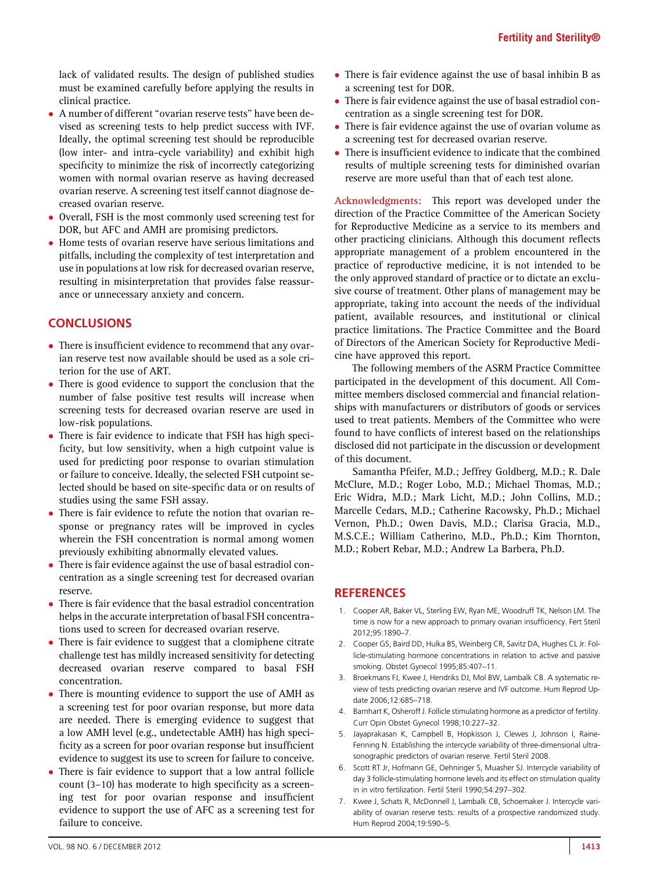<span id="page-6-0"></span>lack of validated results. The design of published studies must be examined carefully before applying the results in clinical practice.

- - A number of different ''ovarian reserve tests'' have been devised as screening tests to help predict success with IVF. Ideally, the optimal screening test should be reproducible (low inter- and intra-cycle variability) and exhibit high specificity to minimize the risk of incorrectly categorizing women with normal ovarian reserve as having decreased ovarian reserve. A screening test itself cannot diagnose decreased ovarian reserve.
- Overall, FSH is the most commonly used screening test for DOR, but AFC and AMH are promising predictors.
- Home tests of ovarian reserve have serious limitations and pitfalls, including the complexity of test interpretation and use in populations at low risk for decreased ovarian reserve, resulting in misinterpretation that provides false reassurance or unnecessary anxiety and concern.

# **CONCLUSIONS**

- There is insufficient evidence to recommend that any ovarian reserve test now available should be used as a sole criterion for the use of ART.
- There is good evidence to support the conclusion that the number of false positive test results will increase when screening tests for decreased ovarian reserve are used in low-risk populations.
- $\bullet$  There is fair evidence to indicate that FSH has high specificity, but low sensitivity, when a high cutpoint value is used for predicting poor response to ovarian stimulation or failure to conceive. Ideally, the selected FSH cutpoint selected should be based on site-specific data or on results of studies using the same FSH assay.
- - There is fair evidence to refute the notion that ovarian response or pregnancy rates will be improved in cycles wherein the FSH concentration is normal among women previously exhibiting abnormally elevated values.
- There is fair evidence against the use of basal estradiol concentration as a single screening test for decreased ovarian reserve.
- There is fair evidence that the basal estradiol concentration helps in the accurate interpretation of basal FSH concentrations used to screen for decreased ovarian reserve.
- $\bullet$  There is fair evidence to suggest that a clomiphene citrate challenge test has mildly increased sensitivity for detecting decreased ovarian reserve compared to basal FSH concentration.
- $\bullet$  There is mounting evidence to support the use of AMH as a screening test for poor ovarian response, but more data are needed. There is emerging evidence to suggest that a low AMH level (e.g., undetectable AMH) has high specificity as a screen for poor ovarian response but insufficient evidence to suggest its use to screen for failure to conceive.
- There is fair evidence to support that a low antral follicle count (3–10) has moderate to high specificity as a screening test for poor ovarian response and insufficient evidence to support the use of AFC as a screening test for failure to conceive.
- There is fair evidence against the use of basal inhibin B as a screening test for DOR.
- There is fair evidence against the use of basal estradiol concentration as a single screening test for DOR.
- There is fair evidence against the use of ovarian volume as a screening test for decreased ovarian reserve.
- There is insufficient evidence to indicate that the combined results of multiple screening tests for diminished ovarian reserve are more useful than that of each test alone.

Acknowledgments: This report was developed under the direction of the Practice Committee of the American Society for Reproductive Medicine as a service to its members and other practicing clinicians. Although this document reflects appropriate management of a problem encountered in the practice of reproductive medicine, it is not intended to be the only approved standard of practice or to dictate an exclusive course of treatment. Other plans of management may be appropriate, taking into account the needs of the individual patient, available resources, and institutional or clinical practice limitations. The Practice Committee and the Board of Directors of the American Society for Reproductive Medicine have approved this report.

The following members of the ASRM Practice Committee participated in the development of this document. All Committee members disclosed commercial and financial relationships with manufacturers or distributors of goods or services used to treat patients. Members of the Committee who were found to have conflicts of interest based on the relationships disclosed did not participate in the discussion or development of this document.

Samantha Pfeifer, M.D.; Jeffrey Goldberg, M.D.; R. Dale McClure, M.D.; Roger Lobo, M.D.; Michael Thomas, M.D.; Eric Widra, M.D.; Mark Licht, M.D.; John Collins, M.D.; Marcelle Cedars, M.D.; Catherine Racowsky, Ph.D.; Michael Vernon, Ph.D.; Owen Davis, M.D.; Clarisa Gracia, M.D., M.S.C.E.; William Catherino, M.D., Ph.D.; Kim Thornton, M.D.; Robert Rebar, M.D.; Andrew La Barbera, Ph.D.

# **REFERENCES**

- 1. Cooper AR, Baker VL, Sterling EW, Ryan ME, Woodruff TK, Nelson LM. The time is now for a new approach to primary ovarian insufficiency. Fert Steril 2012;95:1890–7.
- 2. Cooper GS, Baird DD, Hulka BS, Weinberg CR, Savitz DA, Hughes CL Jr. Follicle-stimulating hormone concentrations in relation to active and passive smoking. Obstet Gynecol 1995;85:407–11.
- 3. Broekmans FJ, Kwee J, Hendriks DJ, Mol BW, Lambalk CB. A systematic review of tests predicting ovarian reserve and IVF outcome. Hum Reprod Update 2006;12:685–718.
- 4. Barnhart K, Osheroff J. Follicle stimulating hormone as a predictor of fertility. Curr Opin Obstet Gynecol 1998;10:227–32.
- 5. Jayaprakasan K, Campbell B, Hopkisson J, Clewes J, Johnson I, Raine-Fenning N. Establishing the intercycle variability of three-dimensional ultrasonographic predictors of ovarian reserve. Fertil Steril 2008.
- 6. Scott RT Jr, Hofmann GE, Oehninger S, Muasher SJ. Intercycle variability of day 3 follicle-stimulating hormone levels and its effect on stimulation quality in in vitro fertilization. Fertil Steril 1990;54:297–302.
- 7. Kwee J, Schats R, McDonnell J, Lambalk CB, Schoemaker J. Intercycle variability of ovarian reserve tests: results of a prospective randomized study. Hum Reprod 2004;19:590–5.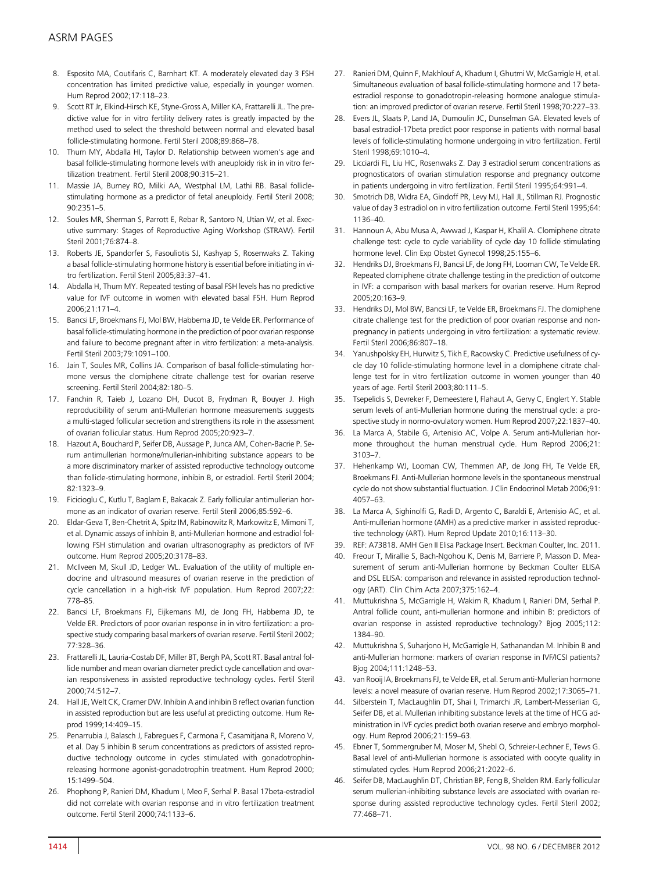- <span id="page-7-0"></span>8. Esposito MA, Coutifaris C, Barnhart KT. A moderately elevated day 3 FSH concentration has limited predictive value, especially in younger women. Hum Reprod 2002;17:118–23.
- 9. Scott RT Jr, Elkind-Hirsch KE, Styne-Gross A, Miller KA, Frattarelli JL. The predictive value for in vitro fertility delivery rates is greatly impacted by the method used to select the threshold between normal and elevated basal follicle-stimulating hormone. Fertil Steril 2008;89:868–78.
- 10. Thum MY, Abdalla HI, Taylor D. Relationship between women's age and basal follicle-stimulating hormone levels with aneuploidy risk in in vitro fertilization treatment. Fertil Steril 2008;90:315–21.
- 11. Massie JA, Burney RO, Milki AA, Westphal LM, Lathi RB. Basal folliclestimulating hormone as a predictor of fetal aneuploidy. Fertil Steril 2008; 90:2351–5.
- 12. Soules MR, Sherman S, Parrott E, Rebar R, Santoro N, Utian W, et al. Executive summary: Stages of Reproductive Aging Workshop (STRAW). Fertil Steril 2001;76:874–8.
- 13. Roberts JE, Spandorfer S, Fasouliotis SJ, Kashyap S, Rosenwaks Z. Taking a basal follicle-stimulating hormone history is essential before initiating in vitro fertilization. Fertil Steril 2005;83:37–41.
- 14. Abdalla H, Thum MY. Repeated testing of basal FSH levels has no predictive value for IVF outcome in women with elevated basal FSH. Hum Reprod 2006;21:171–4.
- 15. Bancsi LF, Broekmans FJ, Mol BW, Habbema JD, te Velde ER. Performance of basal follicle-stimulating hormone in the prediction of poor ovarian response and failure to become pregnant after in vitro fertilization: a meta-analysis. Fertil Steril 2003;79:1091–100.
- 16. Jain T, Soules MR, Collins JA. Comparison of basal follicle-stimulating hormone versus the clomiphene citrate challenge test for ovarian reserve screening. Fertil Steril 2004;82:180–5.
- 17. Fanchin R, Taieb J, Lozano DH, Ducot B, Frydman R, Bouyer J. High reproducibility of serum anti-Mullerian hormone measurements suggests a multi-staged follicular secretion and strengthens its role in the assessment of ovarian follicular status. Hum Reprod 2005;20:923–7.
- 18. Hazout A, Bouchard P, Seifer DB, Aussage P, Junca AM, Cohen-Bacrie P. Serum antimullerian hormone/mullerian-inhibiting substance appears to be a more discriminatory marker of assisted reproductive technology outcome than follicle-stimulating hormone, inhibin B, or estradiol. Fertil Steril 2004; 82:1323–9.
- 19. Ficicioglu C, Kutlu T, Baglam E, Bakacak Z. Early follicular antimullerian hormone as an indicator of ovarian reserve. Fertil Steril 2006;85:592–6.
- 20. Eldar-Geva T, Ben-Chetrit A, Spitz IM, Rabinowitz R, Markowitz E, Mimoni T, et al. Dynamic assays of inhibin B, anti-Mullerian hormone and estradiol following FSH stimulation and ovarian ultrasonography as predictors of IVF outcome. Hum Reprod 2005;20:3178–83.
- 21. McIlveen M, Skull JD, Ledger WL. Evaluation of the utility of multiple endocrine and ultrasound measures of ovarian reserve in the prediction of cycle cancellation in a high-risk IVF population. Hum Reprod 2007;22: 778–85.
- 22. Bancsi LF, Broekmans FJ, Eijkemans MJ, de Jong FH, Habbema JD, te Velde ER. Predictors of poor ovarian response in in vitro fertilization: a prospective study comparing basal markers of ovarian reserve. Fertil Steril 2002; 77:328–36.
- 23. Frattarelli JL, Lauria-Costab DF, Miller BT, Bergh PA, Scott RT. Basal antral follicle number and mean ovarian diameter predict cycle cancellation and ovarian responsiveness in assisted reproductive technology cycles. Fertil Steril 2000;74:512–7.
- 24. Hall JE, Welt CK, Cramer DW. Inhibin A and inhibin B reflect ovarian function in assisted reproduction but are less useful at predicting outcome. Hum Reprod 1999;14:409–15.
- 25. Penarrubia J, Balasch J, Fabregues F, Carmona F, Casamitjana R, Moreno V, et al. Day 5 inhibin B serum concentrations as predictors of assisted reproductive technology outcome in cycles stimulated with gonadotrophinreleasing hormone agonist-gonadotrophin treatment. Hum Reprod 2000; 15:1499–504.
- 26. Phophong P, Ranieri DM, Khadum I, Meo F, Serhal P. Basal 17beta-estradiol did not correlate with ovarian response and in vitro fertilization treatment outcome. Fertil Steril 2000;74:1133–6.
- 27. Ranieri DM, Quinn F, Makhlouf A, Khadum I, Ghutmi W, McGarrigle H, et al. Simultaneous evaluation of basal follicle-stimulating hormone and 17 betaestradiol response to gonadotropin-releasing hormone analogue stimulation: an improved predictor of ovarian reserve. Fertil Steril 1998;70:227–33.
- 28. Evers JL, Slaats P, Land JA, Dumoulin JC, Dunselman GA. Elevated levels of basal estradiol-17beta predict poor response in patients with normal basal levels of follicle-stimulating hormone undergoing in vitro fertilization. Fertil Steril 1998;69:1010–4.
- 29. Licciardi FL, Liu HC, Rosenwaks Z. Day 3 estradiol serum concentrations as prognosticators of ovarian stimulation response and pregnancy outcome in patients undergoing in vitro fertilization. Fertil Steril 1995;64:991–4.
- 30. Smotrich DB, Widra EA, Gindoff PR, Levy MJ, Hall JL, Stillman RJ. Prognostic value of day 3 estradiol on in vitro fertilization outcome. Fertil Steril 1995;64: 1136–40.
- 31. Hannoun A, Abu Musa A, Awwad J, Kaspar H, Khalil A. Clomiphene citrate challenge test: cycle to cycle variability of cycle day 10 follicle stimulating hormone level. Clin Exp Obstet Gynecol 1998;25:155–6.
- 32. Hendriks DJ, Broekmans FJ, Bancsi LF, de Jong FH, Looman CW, Te Velde ER. Repeated clomiphene citrate challenge testing in the prediction of outcome in IVF: a comparison with basal markers for ovarian reserve. Hum Reprod 2005;20:163–9.
- 33. Hendriks DJ, Mol BW, Bancsi LF, te Velde ER, Broekmans FJ. The clomiphene citrate challenge test for the prediction of poor ovarian response and nonpregnancy in patients undergoing in vitro fertilization: a systematic review. Fertil Steril 2006;86:807–18.
- 34. Yanushpolsky EH, Hurwitz S, Tikh E, Racowsky C. Predictive usefulness of cycle day 10 follicle-stimulating hormone level in a clomiphene citrate challenge test for in vitro fertilization outcome in women younger than 40 years of age. Fertil Steril 2003;80:111–5.
- 35. Tsepelidis S, Devreker F, Demeestere I, Flahaut A, Gervy C, Englert Y. Stable serum levels of anti-Mullerian hormone during the menstrual cycle: a prospective study in normo-ovulatory women. Hum Reprod 2007;22:1837–40.
- 36. La Marca A, Stabile G, Artenisio AC, Volpe A. Serum anti-Mullerian hormone throughout the human menstrual cycle. Hum Reprod 2006;21: 3103–7.
- 37. Hehenkamp WJ, Looman CW, Themmen AP, de Jong FH, Te Velde ER, Broekmans FJ. Anti-Mullerian hormone levels in the spontaneous menstrual cycle do not show substantial fluctuation. J Clin Endocrinol Metab 2006;91: 4057–63.
- 38. La Marca A, Sighinolfi G, Radi D, Argento C, Baraldi E, Artenisio AC, et al. Anti-mullerian hormone (AMH) as a predictive marker in assisted reproductive technology (ART). Hum Reprod Update 2010;16:113–30.
- 39. REF: A73818. AMH Gen II Elisa Package Insert. Beckman Coulter, Inc. 2011.
- 40. Freour T, Mirallie S, Bach-Ngohou K, Denis M, Barriere P, Masson D. Measurement of serum anti-Mullerian hormone by Beckman Coulter ELISA and DSL ELISA: comparison and relevance in assisted reproduction technology (ART). Clin Chim Acta 2007;375:162–4.
- 41. Muttukrishna S, McGarrigle H, Wakim R, Khadum I, Ranieri DM, Serhal P. Antral follicle count, anti-mullerian hormone and inhibin B: predictors of ovarian response in assisted reproductive technology? Bjog 2005;112: 1384–90.
- 42. Muttukrishna S, Suharjono H, McGarrigle H, Sathanandan M. Inhibin B and anti-Mullerian hormone: markers of ovarian response in IVF/ICSI patients? Bjog 2004;111:1248–53.
- 43. van Rooij IA, Broekmans FJ, te Velde ER, et al. Serum anti-Mullerian hormone levels: a novel measure of ovarian reserve. Hum Reprod 2002;17:3065–71.
- 44. Silberstein T, MacLaughlin DT, Shai I, Trimarchi JR, Lambert-Messerlian G, Seifer DB, et al. Mullerian inhibiting substance levels at the time of HCG administration in IVF cycles predict both ovarian reserve and embryo morphology. Hum Reprod 2006;21:159–63.
- 45. Ebner T, Sommergruber M, Moser M, Shebl O, Schreier-Lechner E, Tews G. Basal level of anti-Mullerian hormone is associated with oocyte quality in stimulated cycles. Hum Reprod 2006;21:2022–6.
- 46. Seifer DB, MacLaughlin DT, Christian BP, Feng B, Shelden RM. Early follicular serum mullerian-inhibiting substance levels are associated with ovarian response during assisted reproductive technology cycles. Fertil Steril 2002; 77:468–71.